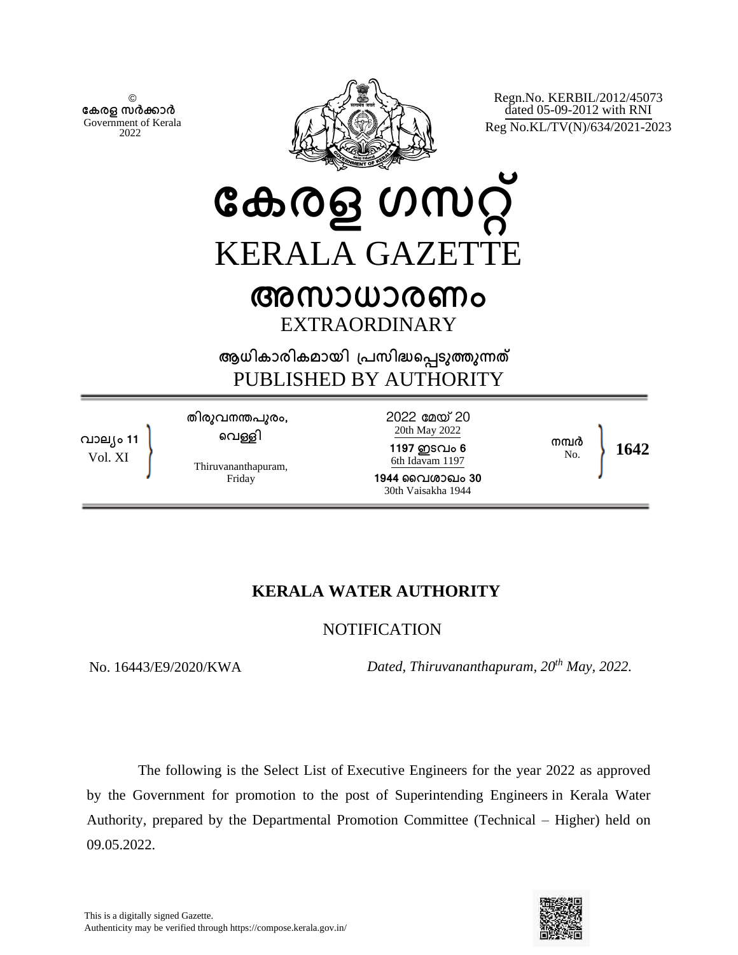© **േകരള സർകാർ** Government of Kerala 2022



Regn.No. KERBIL/2012/45073 dated 05-09-2012 with RNI Reg No.KL/TV(N)/634/2021-2023

**േകരള ഗസറ്** KERALA GAZETT

## **അസാധാരണം** EXTRAORDINARY

**ആധികാരികമായി ്പസിദെപടുതുനത** PUBLISHED BY AUTHORITY

**വാല്ം 11** Vol. XI

**തിരുവനനപുരം, െവളി**

Thiruvananthapuram, Friday

2022 േമയ 20 20th May 2022

**1197 ഇടവം 6** 6th Idavam 1197

**1944 ൈവശാഖം 30** 30th Vaisakha 1944

No. **1642**

**നമർ**

## **KERALA WATER AUTHORITY**

## **NOTIFICATION**

*Dated, Thiruvananthapuram, 20<sup>th</sup> May, 2022.*<br> $Dated, Thiruvananthapuram, 20<sup>th</sup> May, 2022.$ 

The following is the Select List of Executive Engineers for the year 2022 as approved by the Government for promotion to the post of Superintending Engineers in Kerala Water Authority, prepared by the Departmental Promotion Committee (Technical – Higher) held on 09.05.2022.

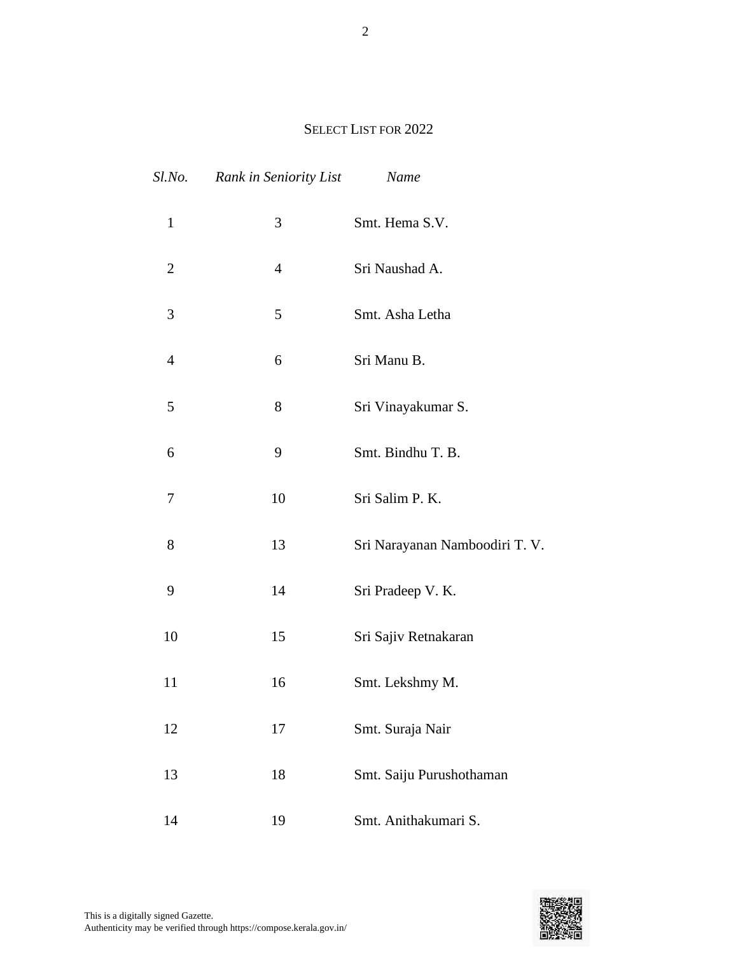## SELECT LIST FOR 2022

| Sl.No.         | Rank in Seniority List | Name                           |
|----------------|------------------------|--------------------------------|
| $\mathbf{1}$   | 3                      | Smt. Hema S.V.                 |
| $\overline{2}$ | 4                      | Sri Naushad A.                 |
| 3              | 5                      | Smt. Asha Letha                |
| $\overline{4}$ | 6                      | Sri Manu B.                    |
| 5              | 8                      | Sri Vinayakumar S.             |
| 6              | 9                      | Smt. Bindhu T. B.              |
| 7              | 10                     | Sri Salim P. K.                |
| 8              | 13                     | Sri Narayanan Namboodiri T. V. |
| 9              | 14                     | Sri Pradeep V. K.              |
| 10             | 15                     | Sri Sajiv Retnakaran           |
| 11             | 16                     | Smt. Lekshmy M.                |
| 12             | 17                     | Smt. Suraja Nair               |
| 13             | 18                     | Smt. Saiju Purushothaman       |
| 14             | 19                     | Smt. Anithakumari S.           |